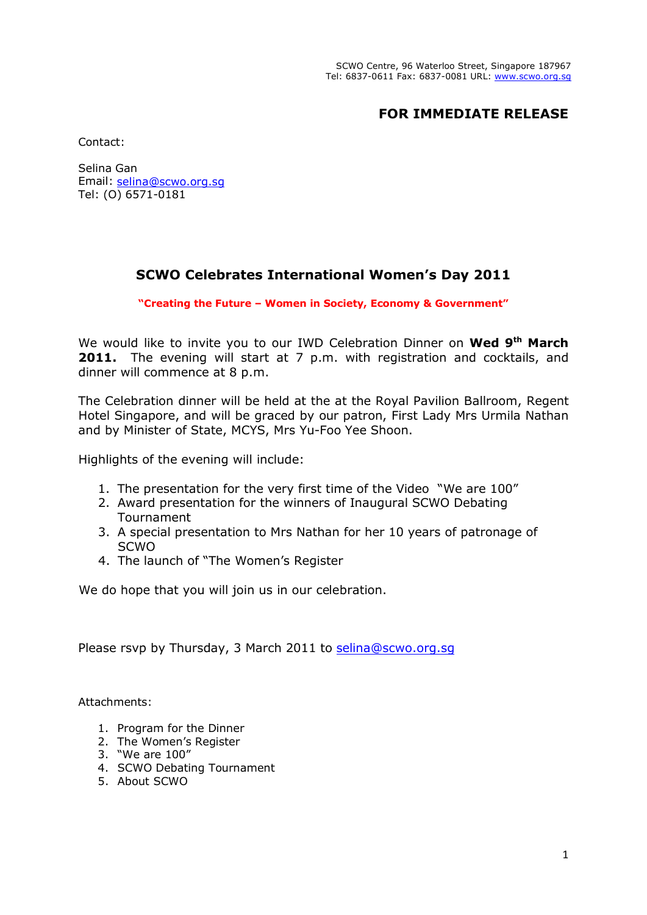## **FOR IMMEDIATE RELEASE**

Contact:

Selina Gan Email: selina@scwo.org.sg Tel: (O) 6571-0181

## **SCWO Celebrates International Women's Day 2011**

**"Creating the Future – Women in Society, Economy & Government"**

We would like to invite you to our IWD Celebration Dinner on **Wed 9th March 2011.** The evening will start at 7 p.m. with registration and cocktails, and dinner will commence at 8 p.m.

The Celebration dinner will be held at the at the Royal Pavilion Ballroom, Regent Hotel Singapore, and will be graced by our patron, First Lady Mrs Urmila Nathan and by Minister of State, MCYS, Mrs Yu-Foo Yee Shoon.

Highlights of the evening will include:

- 1. The presentation for the very first time of the Video "We are 100"
- 2. Award presentation for the winners of Inaugural SCWO Debating Tournament
- 3. A special presentation to Mrs Nathan for her 10 years of patronage of SCWO
- 4. The launch of "The Women's Register

We do hope that you will join us in our celebration.

Please rsvp by Thursday, 3 March 2011 to selina@scwo.org.sg

Attachments:

- 1. Program for the Dinner
- 2. The Women's Register
- 3. "We are 100"
- 4. SCWO Debating Tournament
- 5. About SCWO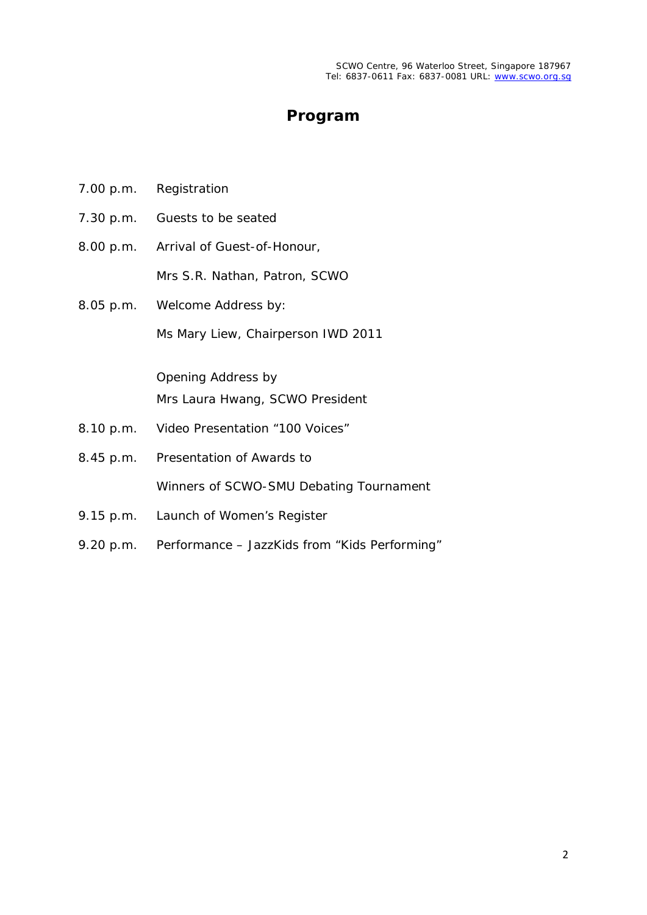## **Program**

- 7.00 p.m. Registration
- 7.30 p.m. Guests to be seated
- 8.00 p.m. Arrival of Guest-of-Honour, Mrs S.R. Nathan, Patron, SCWO
- 8.05 p.m. Welcome Address by: Ms Mary Liew, Chairperson IWD 2011

Opening Address by Mrs Laura Hwang, SCWO President

- 8.10 p.m. Video Presentation "100 Voices"
- 8.45 p.m. Presentation of Awards to Winners of SCWO-SMU Debating Tournament
- 9.15 p.m. Launch of Women's Register
- 9.20 p.m. Performance JazzKids from "Kids Performing"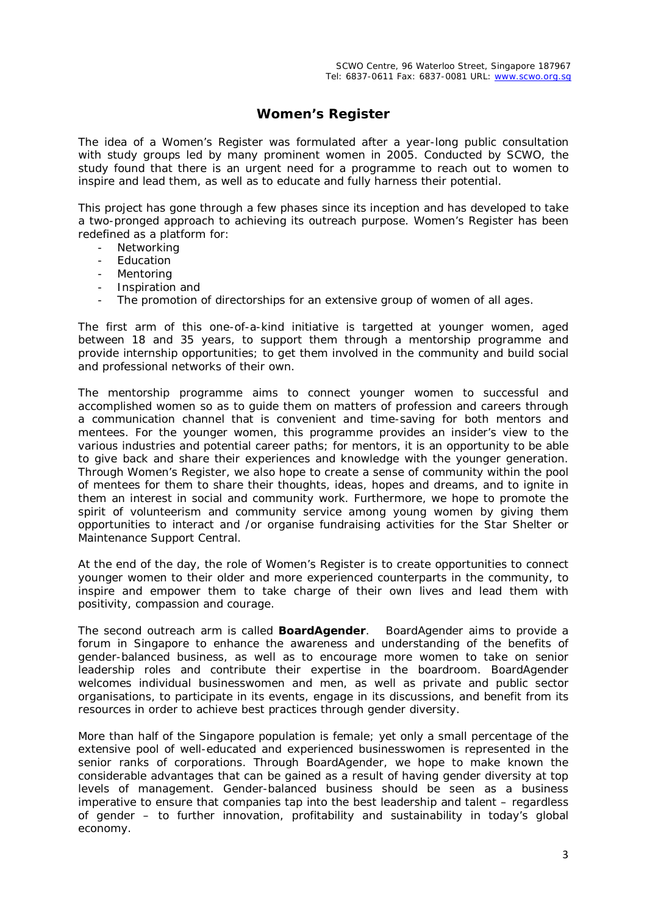### **Women's Register**

The idea of a *Women's Register* was formulated after a year-long public consultation with study groups led by many prominent women in 2005. Conducted by SCWO, the study found that there is an urgent need for a programme to reach out to women to inspire and lead them, as well as to educate and fully harness their potential.

This project has gone through a few phases since its inception and has developed to take a two-pronged approach to achieving its outreach purpose. *Women's Register* has been redefined as a platform for:

- **Networking**
- **Education**
- **Mentoring**
- Inspiration and
- The promotion of directorships for an extensive group of women of all ages.

The first arm of this one-of-a-kind initiative is targetted at younger women, aged between 18 and 35 years, to support them through a mentorship programme and provide internship opportunities; to get them involved in the community and build social and professional networks of their own.

The mentorship programme aims to connect younger women to successful and accomplished women so as to guide them on matters of profession and careers through a communication channel that is convenient and time-saving for both mentors and mentees. For the younger women, this programme provides an insider's view to the various industries and potential career paths; for mentors, it is an opportunity to be able to give back and share their experiences and knowledge with the younger generation. Through *Women's Register*, we also hope to create a sense of community within the pool of mentees for them to share their thoughts, ideas, hopes and dreams, and to ignite in them an interest in social and community work. Furthermore, we hope to promote the spirit of volunteerism and community service among young women by giving them opportunities to interact and /or organise fundraising activities for the Star Shelter or Maintenance Support Central.

At the end of the day, the role of *Women's Register* is to create opportunities to connect younger women to their older and more experienced counterparts in the community, to inspire and empower them to take charge of their own lives and lead them with positivity, compassion and courage.

The second outreach arm is called *BoardAgender*. *BoardAgender* aims to provide a forum in Singapore to enhance the awareness and understanding of the benefits of gender-balanced business, as well as to encourage more women to take on senior leadership roles and contribute their expertise in the boardroom. *BoardAgender* welcomes individual businesswomen and men, as well as private and public sector organisations, to participate in its events, engage in its discussions, and benefit from its resources in order to achieve best practices through gender diversity.

More than half of the Singapore population is female; yet only a small percentage of the extensive pool of well-educated and experienced businesswomen is represented in the senior ranks of corporations. Through *BoardAgender*, we hope to make known the considerable advantages that can be gained as a result of having gender diversity at top levels of management. Gender-balanced business should be seen as a business imperative to ensure that companies tap into the best leadership and talent – regardless of gender – to further innovation, profitability and sustainability in today's global economy.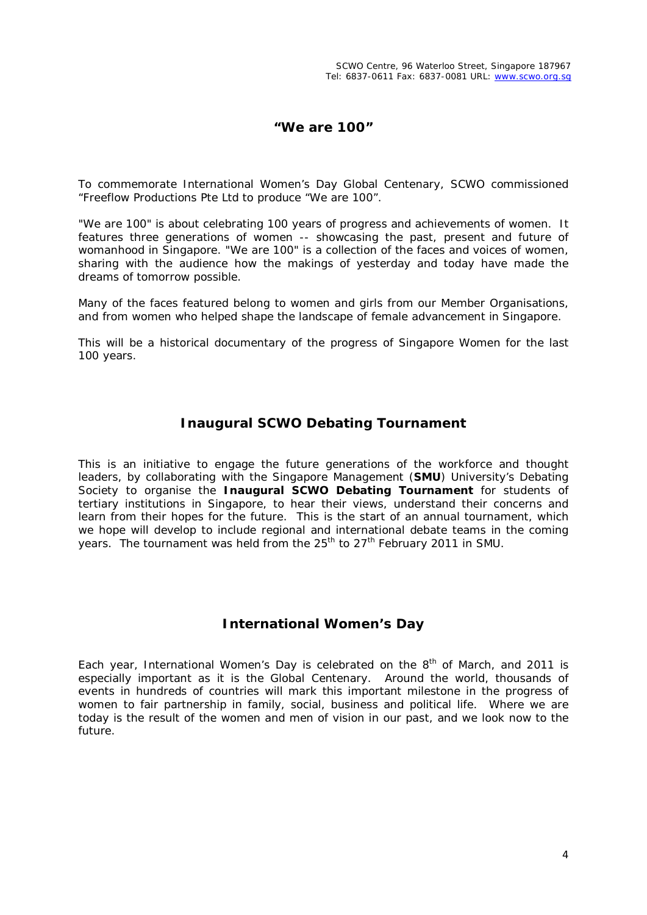### **"We are 100"**

To commemorate International Women's Day Global Centenary, SCWO commissioned "Freeflow Productions Pte Ltd to produce "We are 100".

"We are 100" is about celebrating 100 years of progress and achievements of women. It features three generations of women -- showcasing the past, present and future of womanhood in Singapore. "We are 100" is a collection of the faces and voices of women, sharing with the audience how the makings of yesterday and today have made the dreams of tomorrow possible.

Many of the faces featured belong to women and girls from our Member Organisations, and from women who helped shape the landscape of female advancement in Singapore.

This will be a historical documentary of the progress of Singapore Women for the last 100 years.

### **Inaugural SCWO Debating Tournament**

This is an initiative to engage the future generations of the workforce and thought leaders, by collaborating with the Singapore Management (**SMU**) University's Debating Society to organise the **Inaugural SCWO Debating Tournament** for students of tertiary institutions in Singapore, to hear their views, understand their concerns and learn from their hopes for the future. This is the start of an annual tournament, which we hope will develop to include regional and international debate teams in the coming years. The tournament was held from the 25<sup>th</sup> to 27<sup>th</sup> February 2011 in SMU.

### **International Women's Day**

Each year, International Women's Day is celebrated on the  $8<sup>th</sup>$  of March, and 2011 is especially important as it is the Global Centenary. Around the world, thousands of events in hundreds of countries will mark this important milestone in the progress of women to fair partnership in family, social, business and political life. Where we are today is the result of the women and men of vision in our past, and we look now to the future.